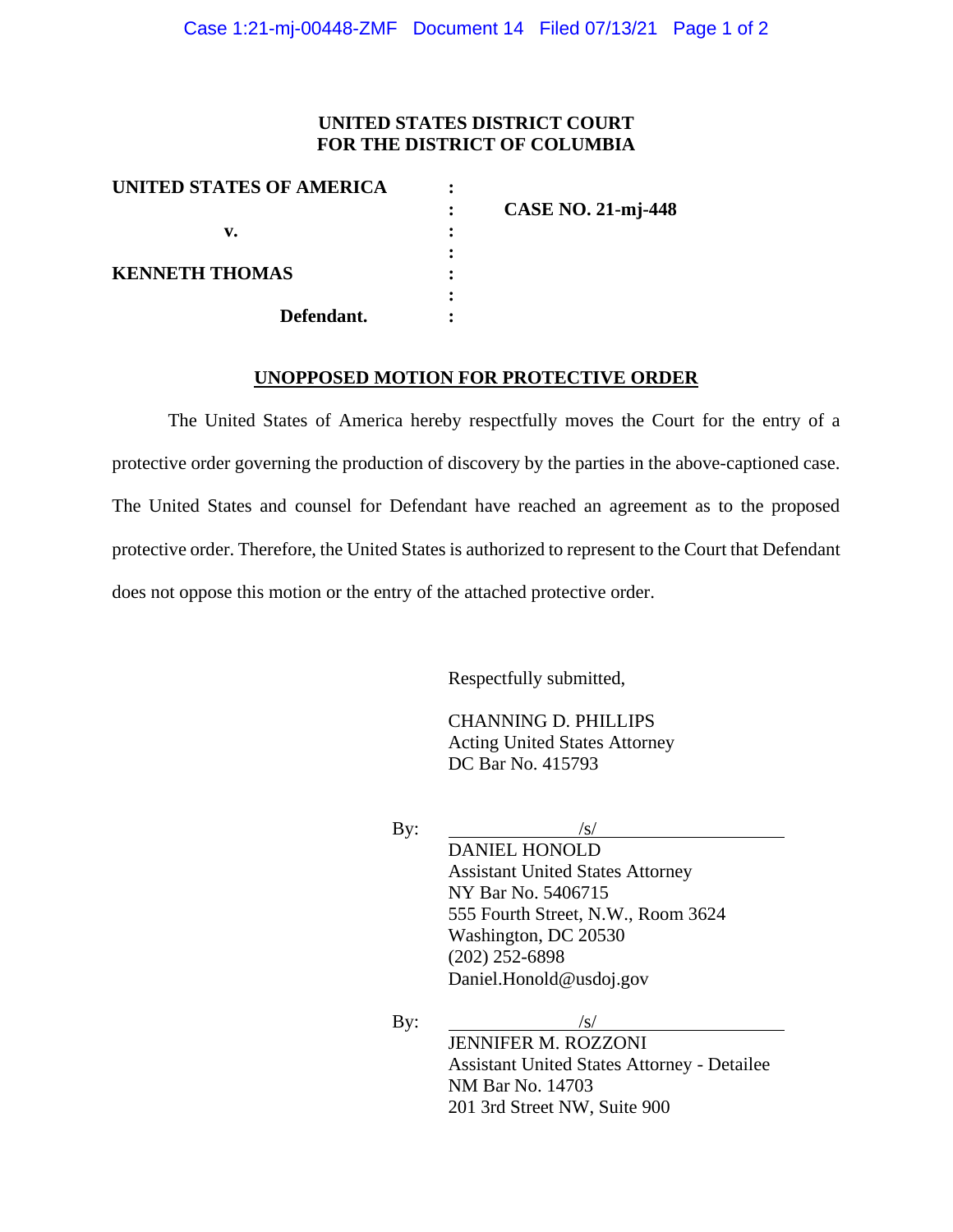## **UNITED STATES DISTRICT COURT FOR THE DISTRICT OF COLUMBIA**

| <b>CASE NO. 21-mj-448</b> |
|---------------------------|
|                           |
|                           |
|                           |
|                           |
|                           |
|                           |

#### **UNOPPOSED MOTION FOR PROTECTIVE ORDER**

The United States of America hereby respectfully moves the Court for the entry of a protective order governing the production of discovery by the parties in the above-captioned case. The United States and counsel for Defendant have reached an agreement as to the proposed protective order. Therefore, the United States is authorized to represent to the Court that Defendant does not oppose this motion or the entry of the attached protective order.

Respectfully submitted,

CHANNING D. PHILLIPS Acting United States Attorney DC Bar No. 415793

By:  $/s/$ 

DANIEL HONOLD Assistant United States Attorney NY Bar No. 5406715 555 Fourth Street, N.W., Room 3624 Washington, DC 20530 (202) 252-6898 Daniel.Honold@usdoj.gov

By:  $/s/$ JENNIFER M. ROZZONI Assistant United States Attorney - Detailee NM Bar No. 14703 201 3rd Street NW, Suite 900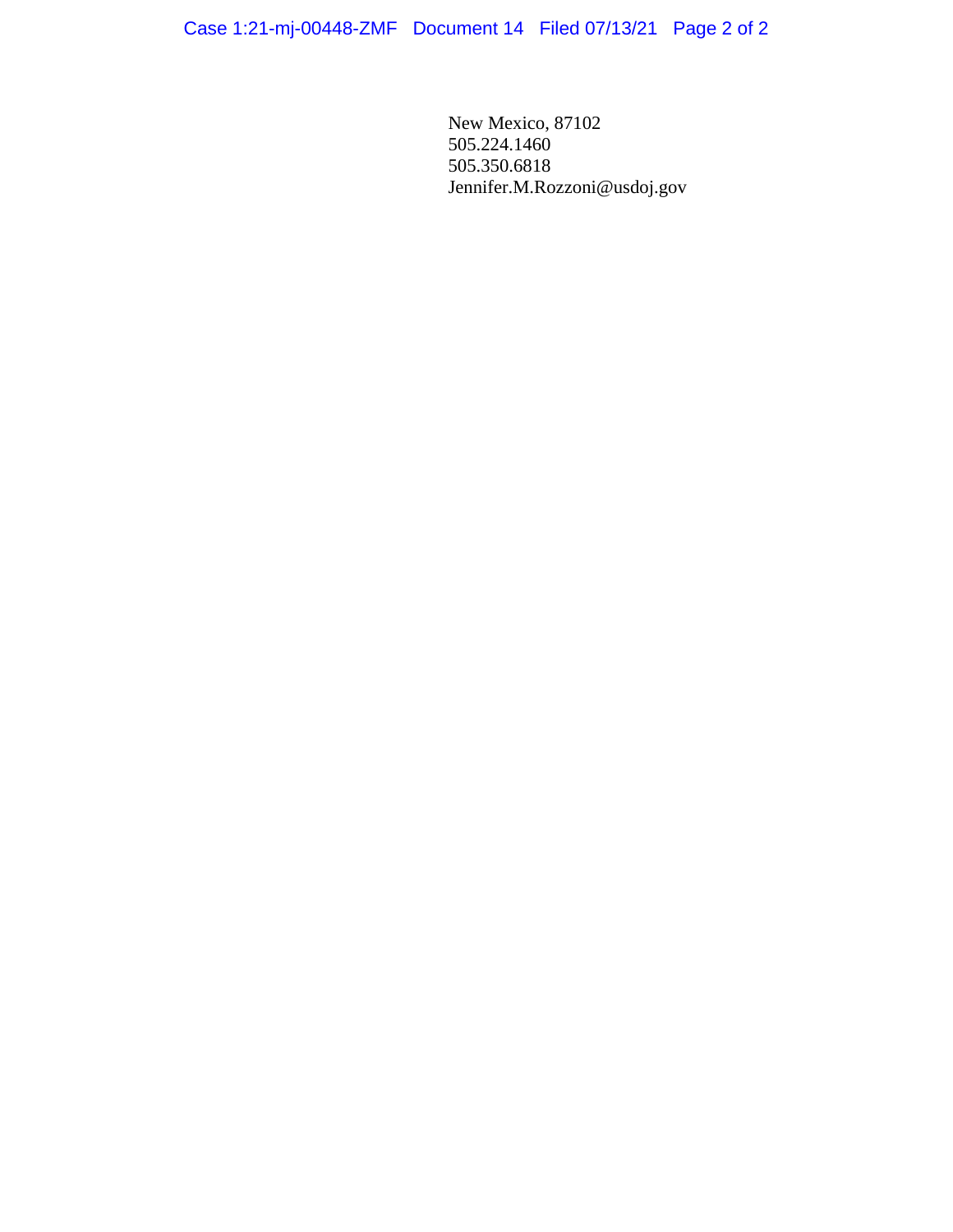New Mexico, 87102 505.224.1460 505.350.6818 Jennifer.M.Rozzoni@usdoj.gov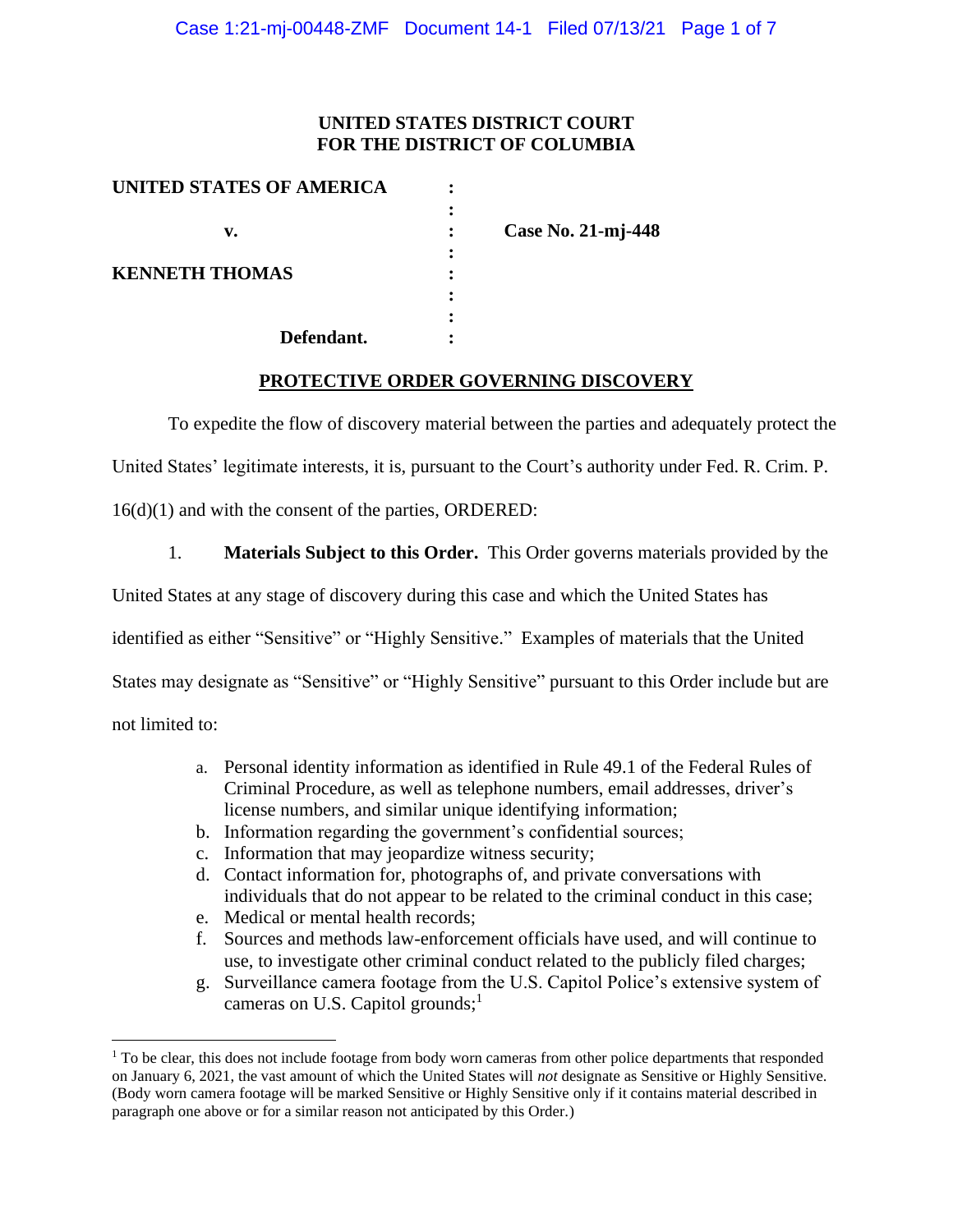## **UNITED STATES DISTRICT COURT FOR THE DISTRICT OF COLUMBIA**

| UNITED STATES OF AMERICA |                    |
|--------------------------|--------------------|
|                          |                    |
| v.                       | Case No. 21-mj-448 |
|                          |                    |
| <b>KENNETH THOMAS</b>    |                    |
|                          |                    |
|                          |                    |
| Defendant.               |                    |

#### **PROTECTIVE ORDER GOVERNING DISCOVERY**

To expedite the flow of discovery material between the parties and adequately protect the

United States' legitimate interests, it is, pursuant to the Court's authority under Fed. R. Crim. P.

16(d)(1) and with the consent of the parties, ORDERED:

1. **Materials Subject to this Order.** This Order governs materials provided by the

United States at any stage of discovery during this case and which the United States has

identified as either "Sensitive" or "Highly Sensitive." Examples of materials that the United

States may designate as "Sensitive" or "Highly Sensitive" pursuant to this Order include but are

not limited to:

- a. Personal identity information as identified in Rule 49.1 of the Federal Rules of Criminal Procedure, as well as telephone numbers, email addresses, driver's license numbers, and similar unique identifying information;
- b. Information regarding the government's confidential sources;
- c. Information that may jeopardize witness security;
- d. Contact information for, photographs of, and private conversations with individuals that do not appear to be related to the criminal conduct in this case;
- e. Medical or mental health records;
- f. Sources and methods law-enforcement officials have used, and will continue to use, to investigate other criminal conduct related to the publicly filed charges;
- g. Surveillance camera footage from the U.S. Capitol Police's extensive system of cameras on U.S. Capitol grounds;<sup>1</sup>

 $<sup>1</sup>$  To be clear, this does not include footage from body worn cameras from other police departments that responded</sup> on January 6, 2021, the vast amount of which the United States will *not* designate as Sensitive or Highly Sensitive. (Body worn camera footage will be marked Sensitive or Highly Sensitive only if it contains material described in paragraph one above or for a similar reason not anticipated by this Order.)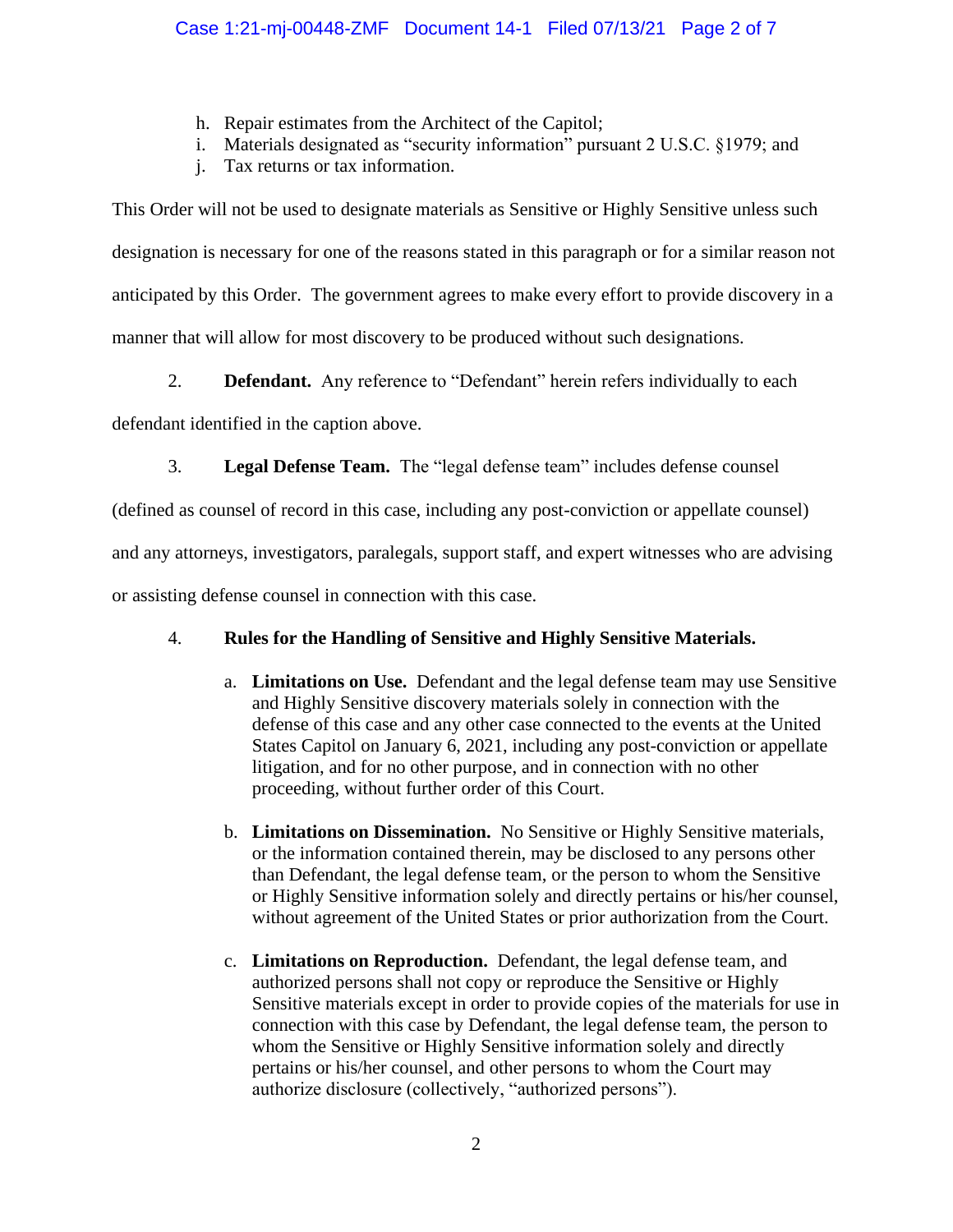- h. Repair estimates from the Architect of the Capitol;
- i. Materials designated as "security information" pursuant 2 U.S.C. §1979; and
- j. Tax returns or tax information.

This Order will not be used to designate materials as Sensitive or Highly Sensitive unless such designation is necessary for one of the reasons stated in this paragraph or for a similar reason not anticipated by this Order. The government agrees to make every effort to provide discovery in a manner that will allow for most discovery to be produced without such designations.

2. **Defendant.** Any reference to "Defendant" herein refers individually to each

defendant identified in the caption above.

3. **Legal Defense Team.** The "legal defense team" includes defense counsel

(defined as counsel of record in this case, including any post-conviction or appellate counsel)

and any attorneys, investigators, paralegals, support staff, and expert witnesses who are advising

or assisting defense counsel in connection with this case.

# 4. **Rules for the Handling of Sensitive and Highly Sensitive Materials.**

- a. **Limitations on Use.** Defendant and the legal defense team may use Sensitive and Highly Sensitive discovery materials solely in connection with the defense of this case and any other case connected to the events at the United States Capitol on January 6, 2021, including any post-conviction or appellate litigation, and for no other purpose, and in connection with no other proceeding, without further order of this Court.
- b. **Limitations on Dissemination.** No Sensitive or Highly Sensitive materials, or the information contained therein, may be disclosed to any persons other than Defendant, the legal defense team, or the person to whom the Sensitive or Highly Sensitive information solely and directly pertains or his/her counsel, without agreement of the United States or prior authorization from the Court.
- c. **Limitations on Reproduction.** Defendant, the legal defense team, and authorized persons shall not copy or reproduce the Sensitive or Highly Sensitive materials except in order to provide copies of the materials for use in connection with this case by Defendant, the legal defense team, the person to whom the Sensitive or Highly Sensitive information solely and directly pertains or his/her counsel, and other persons to whom the Court may authorize disclosure (collectively, "authorized persons").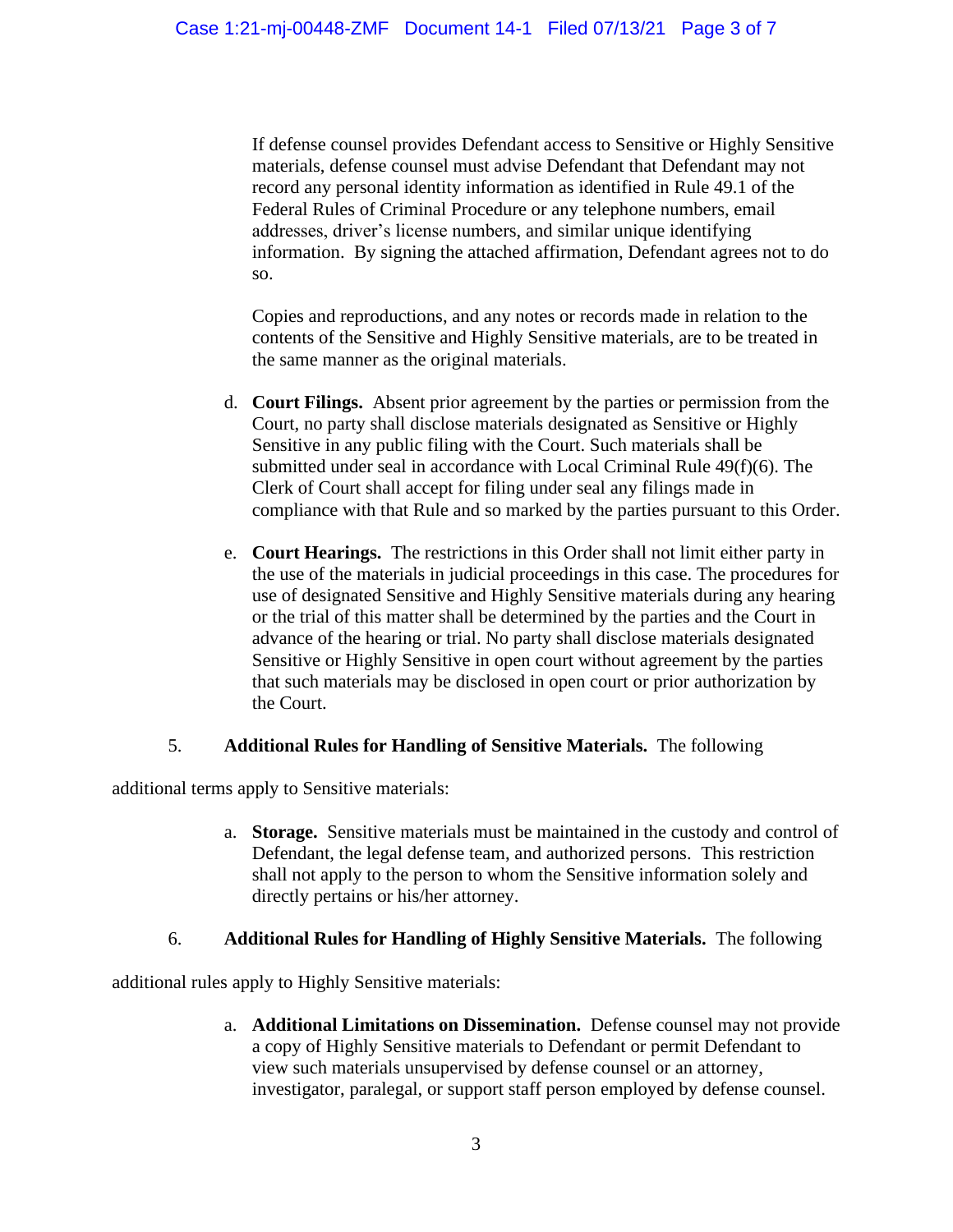If defense counsel provides Defendant access to Sensitive or Highly Sensitive materials, defense counsel must advise Defendant that Defendant may not record any personal identity information as identified in Rule 49.1 of the Federal Rules of Criminal Procedure or any telephone numbers, email addresses, driver's license numbers, and similar unique identifying information. By signing the attached affirmation, Defendant agrees not to do so.

Copies and reproductions, and any notes or records made in relation to the contents of the Sensitive and Highly Sensitive materials, are to be treated in the same manner as the original materials.

- d. **Court Filings.** Absent prior agreement by the parties or permission from the Court, no party shall disclose materials designated as Sensitive or Highly Sensitive in any public filing with the Court. Such materials shall be submitted under seal in accordance with Local Criminal Rule 49(f)(6). The Clerk of Court shall accept for filing under seal any filings made in compliance with that Rule and so marked by the parties pursuant to this Order.
- e. **Court Hearings.** The restrictions in this Order shall not limit either party in the use of the materials in judicial proceedings in this case. The procedures for use of designated Sensitive and Highly Sensitive materials during any hearing or the trial of this matter shall be determined by the parties and the Court in advance of the hearing or trial. No party shall disclose materials designated Sensitive or Highly Sensitive in open court without agreement by the parties that such materials may be disclosed in open court or prior authorization by the Court.

# 5. **Additional Rules for Handling of Sensitive Materials.** The following

additional terms apply to Sensitive materials:

a. **Storage.** Sensitive materials must be maintained in the custody and control of Defendant, the legal defense team, and authorized persons. This restriction shall not apply to the person to whom the Sensitive information solely and directly pertains or his/her attorney.

## 6. **Additional Rules for Handling of Highly Sensitive Materials.** The following

additional rules apply to Highly Sensitive materials:

a. **Additional Limitations on Dissemination.** Defense counsel may not provide a copy of Highly Sensitive materials to Defendant or permit Defendant to view such materials unsupervised by defense counsel or an attorney, investigator, paralegal, or support staff person employed by defense counsel.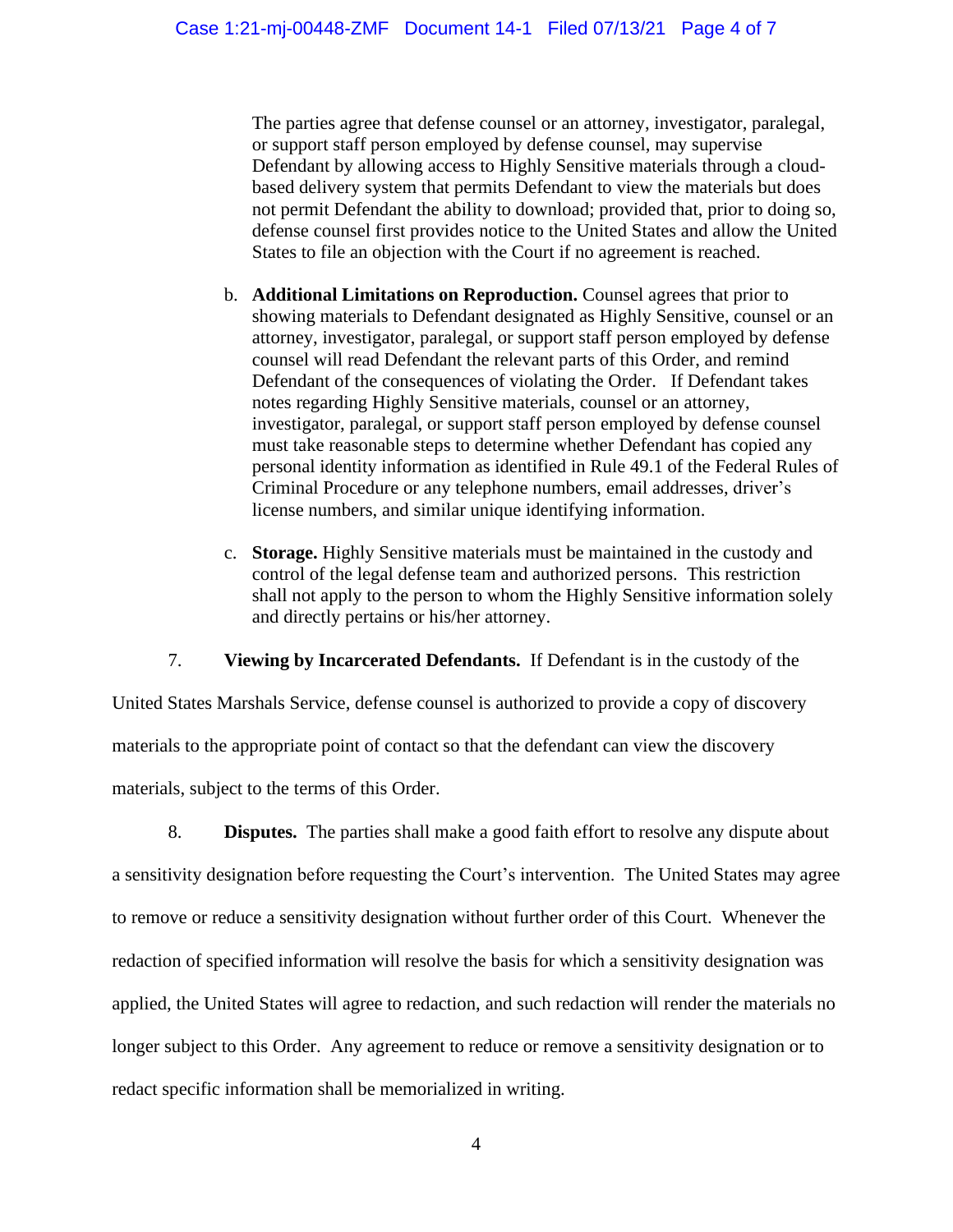The parties agree that defense counsel or an attorney, investigator, paralegal, or support staff person employed by defense counsel, may supervise Defendant by allowing access to Highly Sensitive materials through a cloudbased delivery system that permits Defendant to view the materials but does not permit Defendant the ability to download; provided that, prior to doing so, defense counsel first provides notice to the United States and allow the United States to file an objection with the Court if no agreement is reached.

- b. **Additional Limitations on Reproduction.** Counsel agrees that prior to showing materials to Defendant designated as Highly Sensitive, counsel or an attorney, investigator, paralegal, or support staff person employed by defense counsel will read Defendant the relevant parts of this Order, and remind Defendant of the consequences of violating the Order. If Defendant takes notes regarding Highly Sensitive materials, counsel or an attorney, investigator, paralegal, or support staff person employed by defense counsel must take reasonable steps to determine whether Defendant has copied any personal identity information as identified in Rule 49.1 of the Federal Rules of Criminal Procedure or any telephone numbers, email addresses, driver's license numbers, and similar unique identifying information.
- c. **Storage.** Highly Sensitive materials must be maintained in the custody and control of the legal defense team and authorized persons. This restriction shall not apply to the person to whom the Highly Sensitive information solely and directly pertains or his/her attorney.

7. **Viewing by Incarcerated Defendants.** If Defendant is in the custody of the

United States Marshals Service, defense counsel is authorized to provide a copy of discovery materials to the appropriate point of contact so that the defendant can view the discovery materials, subject to the terms of this Order.

8. **Disputes.** The parties shall make a good faith effort to resolve any dispute about a sensitivity designation before requesting the Court's intervention. The United States may agree to remove or reduce a sensitivity designation without further order of this Court. Whenever the redaction of specified information will resolve the basis for which a sensitivity designation was applied, the United States will agree to redaction, and such redaction will render the materials no longer subject to this Order. Any agreement to reduce or remove a sensitivity designation or to redact specific information shall be memorialized in writing.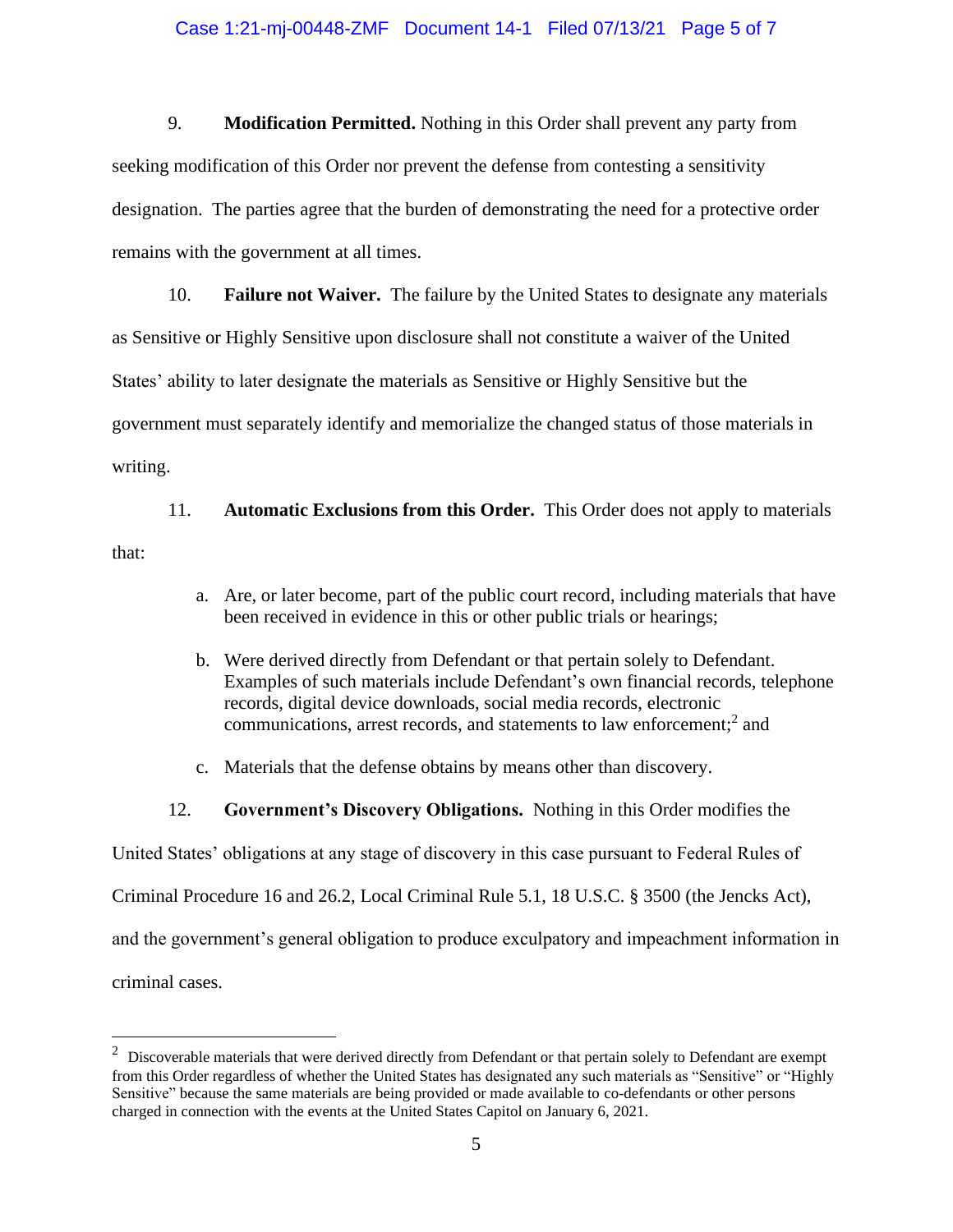#### Case 1:21-mj-00448-ZMF Document 14-1 Filed 07/13/21 Page 5 of 7

9. **Modification Permitted.** Nothing in this Order shall prevent any party from seeking modification of this Order nor prevent the defense from contesting a sensitivity designation. The parties agree that the burden of demonstrating the need for a protective order remains with the government at all times.

10. **Failure not Waiver.** The failure by the United States to designate any materials as Sensitive or Highly Sensitive upon disclosure shall not constitute a waiver of the United States' ability to later designate the materials as Sensitive or Highly Sensitive but the government must separately identify and memorialize the changed status of those materials in writing.

11. **Automatic Exclusions from this Order.** This Order does not apply to materials that:

- a. Are, or later become, part of the public court record, including materials that have been received in evidence in this or other public trials or hearings;
- b. Were derived directly from Defendant or that pertain solely to Defendant. Examples of such materials include Defendant's own financial records, telephone records, digital device downloads, social media records, electronic communications, arrest records, and statements to law enforcement; 2 and
- c. Materials that the defense obtains by means other than discovery.
- 12. **Government's Discovery Obligations.** Nothing in this Order modifies the

United States' obligations at any stage of discovery in this case pursuant to Federal Rules of

Criminal Procedure 16 and 26.2, Local Criminal Rule 5.1, 18 U.S.C. § 3500 (the Jencks Act),

and the government's general obligation to produce exculpatory and impeachment information in

criminal cases.

 $2$  Discoverable materials that were derived directly from Defendant or that pertain solely to Defendant are exempt from this Order regardless of whether the United States has designated any such materials as "Sensitive" or "Highly Sensitive" because the same materials are being provided or made available to co-defendants or other persons charged in connection with the events at the United States Capitol on January 6, 2021.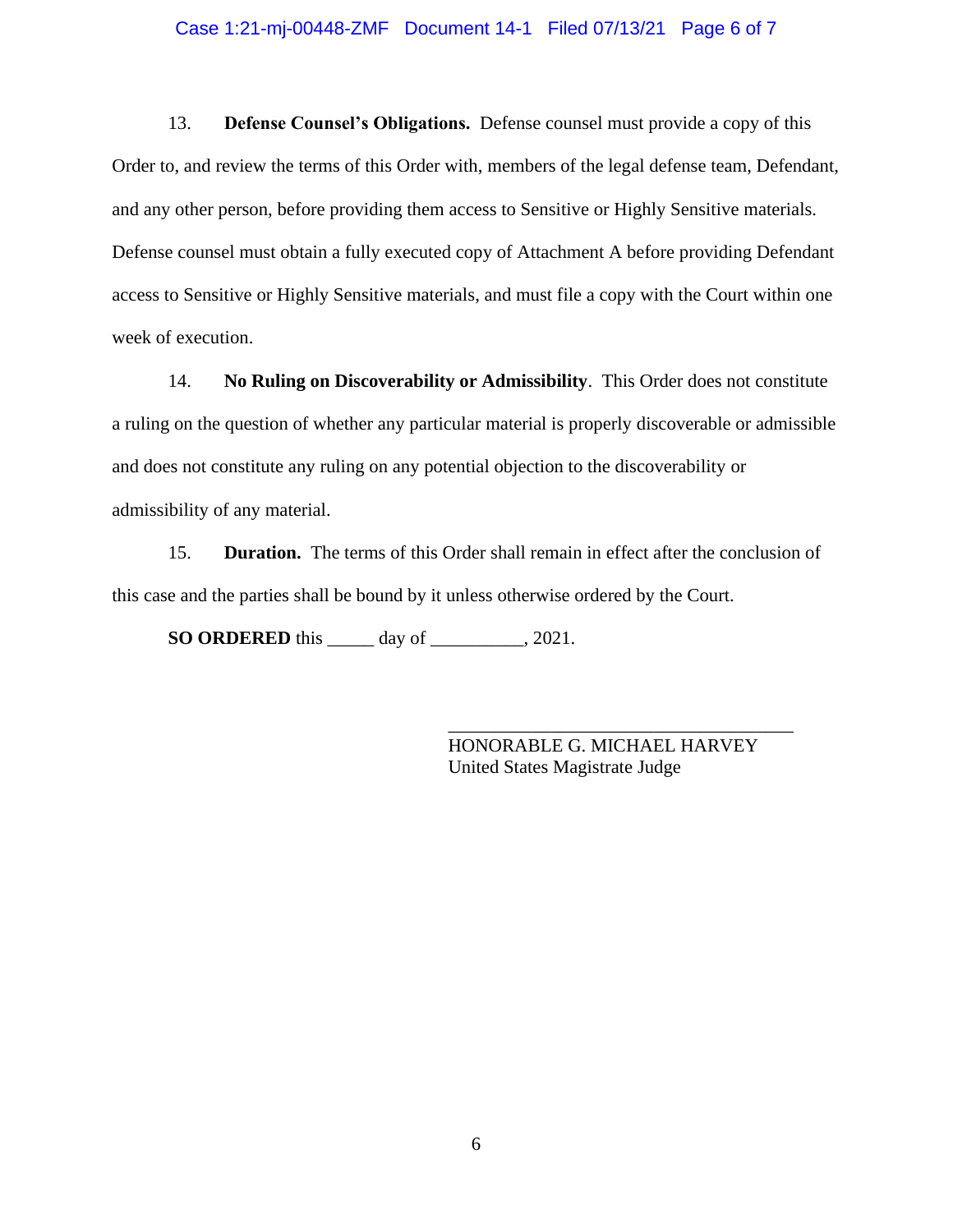#### Case 1:21-mj-00448-ZMF Document 14-1 Filed 07/13/21 Page 6 of 7

13. **Defense Counsel's Obligations.** Defense counsel must provide a copy of this Order to, and review the terms of this Order with, members of the legal defense team, Defendant, and any other person, before providing them access to Sensitive or Highly Sensitive materials. Defense counsel must obtain a fully executed copy of Attachment A before providing Defendant access to Sensitive or Highly Sensitive materials, and must file a copy with the Court within one week of execution.

14. **No Ruling on Discoverability or Admissibility**. This Order does not constitute a ruling on the question of whether any particular material is properly discoverable or admissible and does not constitute any ruling on any potential objection to the discoverability or admissibility of any material.

15. **Duration.** The terms of this Order shall remain in effect after the conclusion of this case and the parties shall be bound by it unless otherwise ordered by the Court.

**SO ORDERED** this \_\_\_\_\_ day of \_\_\_\_\_\_\_\_\_\_, 2021.

HONORABLE G. MICHAEL HARVEY United States Magistrate Judge

\_\_\_\_\_\_\_\_\_\_\_\_\_\_\_\_\_\_\_\_\_\_\_\_\_\_\_\_\_\_\_\_\_\_\_\_\_